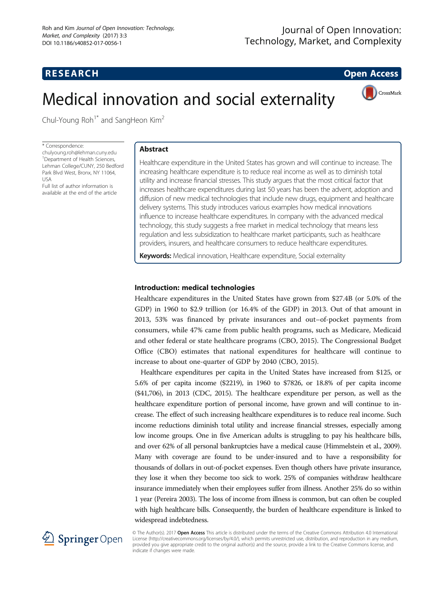## **RESEARCH RESEARCH CONSUMING ACCESS**

# Medical innovation and social externality



Chul-Young  $Roh<sup>1*</sup>$  and SangHeon Kim<sup>2</sup>

\* Correspondence:

[chulyoung.roh@lehman.cuny.edu](mailto:chulyoung.roh@lehman.cuny.edu) <sup>1</sup> Department of Health Sciences, Lehman College/CUNY, 250 Bedford Park Blvd West, Bronx, NY 11064, USA

Full list of author information is available at the end of the article

#### Abstract

Healthcare expenditure in the United States has grown and will continue to increase. The increasing healthcare expenditure is to reduce real income as well as to diminish total utility and increase financial stresses. This study argues that the most critical factor that increases healthcare expenditures during last 50 years has been the advent, adoption and diffusion of new medical technologies that include new drugs, equipment and healthcare delivery systems. This study introduces various examples how medical innovations influence to increase healthcare expenditures. In company with the advanced medical technology, this study suggests a free market in medical technology that means less regulation and less subsidization to healthcare market participants, such as healthcare providers, insurers, and healthcare consumers to reduce healthcare expenditures.

Keywords: Medical innovation, Healthcare expenditure, Social externality

#### Introduction: medical technologies

Healthcare expenditures in the United States have grown from \$27.4B (or 5.0% of the GDP) in 1960 to \$2.9 trillion (or 16.4% of the GDP) in 2013. Out of that amount in 2013, 53% was financed by private insurances and out–of-pocket payments from consumers, while 47% came from public health programs, such as Medicare, Medicaid and other federal or state healthcare programs (CBO, [2015](#page-6-0)). The Congressional Budget Office (CBO) estimates that national expenditures for healthcare will continue to increase to about one-quarter of GDP by 2040 (CBO, [2015](#page-6-0)).

Healthcare expenditures per capita in the United States have increased from \$125, or 5.6% of per capita income (\$2219), in 1960 to \$7826, or 18.8% of per capita income (\$41,706), in 2013 (CDC, [2015](#page-6-0)). The healthcare expenditure per person, as well as the healthcare expenditure portion of personal income, have grown and will continue to increase. The effect of such increasing healthcare expenditures is to reduce real income. Such income reductions diminish total utility and increase financial stresses, especially among low income groups. One in five American adults is struggling to pay his healthcare bills, and over 62% of all personal bankruptcies have a medical cause (Himmelstein et al., [2009](#page-7-0)). Many with coverage are found to be under-insured and to have a responsibility for thousands of dollars in out-of-pocket expenses. Even though others have private insurance, they lose it when they become too sick to work. 25% of companies withdraw healthcare insurance immediately when their employees suffer from illness. Another 25% do so within 1 year (Pereira [2003\)](#page-7-0). The loss of income from illness is common, but can often be coupled with high healthcare bills. Consequently, the burden of healthcare expenditure is linked to widespread indebtedness.



© The Author(s). 2017 Open Access This article is distributed under the terms of the Creative Commons Attribution 4.0 International License [\(http://creativecommons.org/licenses/by/4.0/](http://creativecommons.org/licenses/by/4.0/)), which permits unrestricted use, distribution, and reproduction in any medium, provided you give appropriate credit to the original author(s) and the source, provide a link to the Creative Commons license, and indicate if changes were made.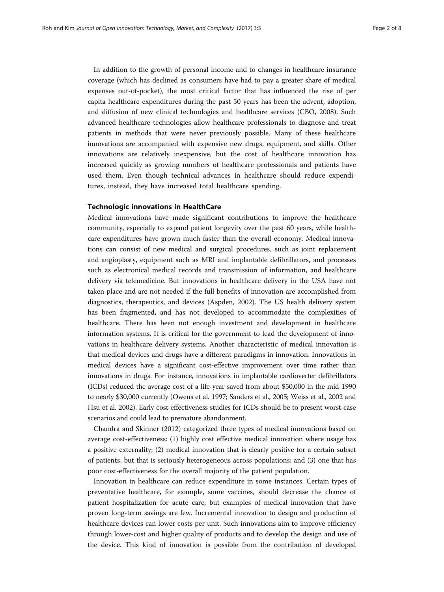In addition to the growth of personal income and to changes in healthcare insurance coverage (which has declined as consumers have had to pay a greater share of medical expenses out-of-pocket), the most critical factor that has influenced the rise of per capita healthcare expenditures during the past 50 years has been the advent, adoption, and diffusion of new clinical technologies and healthcare services (CBO, [2008](#page-6-0)). Such advanced healthcare technologies allow healthcare professionals to diagnose and treat patients in methods that were never previously possible. Many of these healthcare innovations are accompanied with expensive new drugs, equipment, and skills. Other innovations are relatively inexpensive, but the cost of healthcare innovation has increased quickly as growing numbers of healthcare professionals and patients have used them. Even though technical advances in healthcare should reduce expenditures, instead, they have increased total healthcare spending.

#### Technologic innovations in HealthCare

Medical innovations have made significant contributions to improve the healthcare community, especially to expand patient longevity over the past 60 years, while healthcare expenditures have grown much faster than the overall economy. Medical innovations can consist of new medical and surgical procedures, such as joint replacement and angioplasty, equipment such as MRI and implantable defibrillators, and processes such as electronical medical records and transmission of information, and healthcare delivery via telemedicine. But innovations in healthcare delivery in the USA have not taken place and are not needed if the full benefits of innovation are accomplished from diagnostics, therapeutics, and devices (Aspden, [2002\)](#page-6-0). The US health delivery system has been fragmented, and has not developed to accommodate the complexities of healthcare. There has been not enough investment and development in healthcare information systems. It is critical for the government to lead the development of innovations in healthcare delivery systems. Another characteristic of medical innovation is that medical devices and drugs have a different paradigms in innovation. Innovations in medical devices have a significant cost-effective improvement over time rather than innovations in drugs. For instance, innovations in implantable cardioverter defibrillators (ICDs) reduced the average cost of a life-year saved from about \$50,000 in the mid-1990 to nearly \$30,000 currently (Owens et al. [1997](#page-7-0); Sanders et al., [2005](#page-7-0); Weiss et al., [2002](#page-7-0) and Hsu et al. [2002](#page-7-0)). Early cost-effectiveness studies for ICDs should be to present worst-case scenarios and could lead to premature abandonment.

Chandra and Skinner [\(2012\)](#page-6-0) categorized three types of medical innovations based on average cost-effectiveness: (1) highly cost effective medical innovation where usage has a positive externality; (2) medical innovation that is clearly positive for a certain subset of patients, but that is seriously heterogeneous across populations; and (3) one that has poor cost-effectiveness for the overall majority of the patient population.

Innovation in healthcare can reduce expenditure in some instances. Certain types of preventative healthcare, for example, some vaccines, should decrease the chance of patient hospitalization for acute care, but examples of medical innovation that have proven long-term savings are few. Incremental innovation to design and production of healthcare devices can lower costs per unit. Such innovations aim to improve efficiency through lower-cost and higher quality of products and to develop the design and use of the device. This kind of innovation is possible from the contribution of developed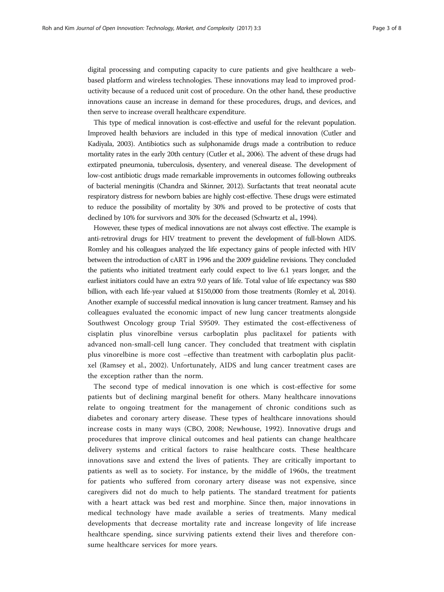digital processing and computing capacity to cure patients and give healthcare a webbased platform and wireless technologies. These innovations may lead to improved productivity because of a reduced unit cost of procedure. On the other hand, these productive innovations cause an increase in demand for these procedures, drugs, and devices, and then serve to increase overall healthcare expenditure.

This type of medical innovation is cost-effective and useful for the relevant population. Improved health behaviors are included in this type of medical innovation (Cutler and Kadiyala, [2003\)](#page-6-0). Antibiotics such as sulphonamide drugs made a contribution to reduce mortality rates in the early 20th century (Cutler et al., [2006\)](#page-7-0). The advent of these drugs had extirpated pneumonia, tuberculosis, dysentery, and venereal disease. The development of low-cost antibiotic drugs made remarkable improvements in outcomes following outbreaks of bacterial meningitis (Chandra and Skinner, [2012](#page-6-0)). Surfactants that treat neonatal acute respiratory distress for newborn babies are highly cost-effective. These drugs were estimated to reduce the possibility of mortality by 30% and proved to be protective of costs that declined by 10% for survivors and 30% for the deceased (Schwartz et al., [1994\)](#page-7-0).

However, these types of medical innovations are not always cost effective. The example is anti-retroviral drugs for HIV treatment to prevent the development of full-blown AIDS. Romley and his colleagues analyzed the life expectancy gains of people infected with HIV between the introduction of cART in 1996 and the 2009 guideline revisions. They concluded the patients who initiated treatment early could expect to live 6.1 years longer, and the earliest initiators could have an extra 9.0 years of life. Total value of life expectancy was \$80 billion, with each life-year valued at \$150,000 from those treatments (Romley et al, [2014\)](#page-7-0). Another example of successful medical innovation is lung cancer treatment. Ramsey and his colleagues evaluated the economic impact of new lung cancer treatments alongside Southwest Oncology group Trial S9509. They estimated the cost-effectiveness of cisplatin plus vinorelbine versus carboplatin plus paclitaxel for patients with advanced non-small-cell lung cancer. They concluded that treatment with cisplatin plus vinorelbine is more cost –effective than treatment with carboplatin plus paclitxel (Ramsey et al., [2002](#page-7-0)). Unfortunately, AIDS and lung cancer treatment cases are the exception rather than the norm.

The second type of medical innovation is one which is cost-effective for some patients but of declining marginal benefit for others. Many healthcare innovations relate to ongoing treatment for the management of chronic conditions such as diabetes and coronary artery disease. These types of healthcare innovations should increase costs in many ways (CBO, [2008](#page-6-0); Newhouse, [1992\)](#page-7-0). Innovative drugs and procedures that improve clinical outcomes and heal patients can change healthcare delivery systems and critical factors to raise healthcare costs. These healthcare innovations save and extend the lives of patients. They are critically important to patients as well as to society. For instance, by the middle of 1960s, the treatment for patients who suffered from coronary artery disease was not expensive, since caregivers did not do much to help patients. The standard treatment for patients with a heart attack was bed rest and morphine. Since then, major innovations in medical technology have made available a series of treatments. Many medical developments that decrease mortality rate and increase longevity of life increase healthcare spending, since surviving patients extend their lives and therefore consume healthcare services for more years.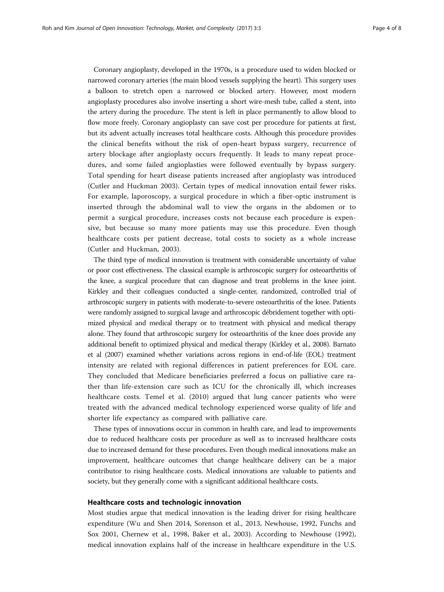Coronary angioplasty, developed in the 1970s, is a procedure used to widen blocked or narrowed coronary arteries (the main blood vessels supplying the heart). This surgery uses a balloon to stretch open a narrowed or blocked artery. However, most modern angioplasty procedures also involve inserting a short wire-mesh tube, called a stent, into the artery during the procedure. The stent is left in place permanently to allow blood to flow more freely. Coronary angioplasty can save cost per procedure for patients at first, but its advent actually increases total healthcare costs. Although this procedure provides the clinical benefits without the risk of open-heart bypass surgery, recurrence of artery blockage after angioplasty occurs frequently. It leads to many repeat procedures, and some failed angioplasties were followed eventually by bypass surgery. Total spending for heart disease patients increased after angioplasty was introduced (Cutler and Huckman [2003](#page-6-0)). Certain types of medical innovation entail fewer risks. For example, laporoscopy, a surgical procedure in which a fiber-optic instrument is inserted through the abdominal wall to view the organs in the abdomen or to permit a surgical procedure, increases costs not because each procedure is expensive, but because so many more patients may use this procedure. Even though healthcare costs per patient decrease, total costs to society as a whole increase (Cutler and Huckman, [2003](#page-6-0)).

The third type of medical innovation is treatment with considerable uncertainty of value or poor cost effectiveness. The classical example is arthroscopic surgery for osteoarthritis of the knee, a surgical procedure that can diagnose and treat problems in the knee joint. Kirkley and their colleagues conducted a single-center, randomized, controlled trial of arthroscopic surgery in patients with moderate-to-severe osteoarthritis of the knee. Patients were randomly assigned to surgical lavage and arthroscopic débridement together with optimized physical and medical therapy or to treatment with physical and medical therapy alone. They found that arthroscopic surgery for osteoarthritis of the knee does provide any additional benefit to optimized physical and medical therapy (Kirkley et al., [2008](#page-7-0)). Barnato et al ([2007](#page-6-0)) examined whether variations across regions in end-of-life (EOL) treatment intensity are related with regional differences in patient preferences for EOL care. They concluded that Medicare beneficiaries preferred a focus on palliative care rather than life-extension care such as ICU for the chronically ill, which increases healthcare costs. Temel et al. ([2010](#page-7-0)) argued that lung cancer patients who were treated with the advanced medical technology experienced worse quality of life and shorter life expectancy as compared with palliative care.

These types of innovations occur in common in health care, and lead to improvements due to reduced healthcare costs per procedure as well as to increased healthcare costs due to increased demand for these procedures. Even though medical innovations make an improvement, healthcare outcomes that change healthcare delivery can be a major contributor to rising healthcare costs. Medical innovations are valuable to patients and society, but they generally come with a significant additional healthcare costs.

#### Healthcare costs and technologic innovation

Most studies argue that medical innovation is the leading driver for rising healthcare expenditure (Wu and Shen [2014,](#page-7-0) Sorenson et al., [2013,](#page-7-0) Newhouse, [1992](#page-7-0), Funchs and Sox [2001,](#page-7-0) Chernew et al., [1998,](#page-6-0) Baker et al., [2003](#page-6-0)). According to Newhouse ([1992](#page-7-0)), medical innovation explains half of the increase in healthcare expenditure in the U.S.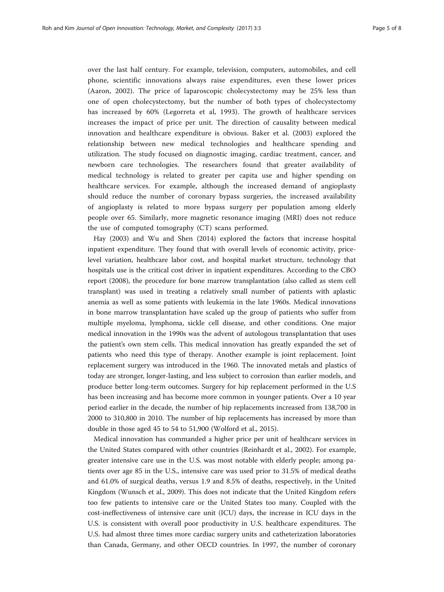over the last half century. For example, television, computers, automobiles, and cell phone, scientific innovations always raise expenditures, even these lower prices (Aaron, [2002\)](#page-6-0). The price of laparoscopic cholecystectomy may be 25% less than one of open cholecystectomy, but the number of both types of cholecystectomy has increased by 60% (Legorreta et al, [1993](#page-7-0)). The growth of healthcare services increases the impact of price per unit. The direction of causality between medical innovation and healthcare expenditure is obvious. Baker et al. ([2003](#page-6-0)) explored the relationship between new medical technologies and healthcare spending and utilization. The study focused on diagnostic imaging, cardiac treatment, cancer, and newborn care technologies. The researchers found that greater availability of medical technology is related to greater per capita use and higher spending on healthcare services. For example, although the increased demand of angioplasty should reduce the number of coronary bypass surgeries, the increased availability of angioplasty is related to more bypass surgery per population among elderly people over 65. Similarly, more magnetic resonance imaging (MRI) does not reduce the use of computed tomography (CT) scans performed.

Hay [\(2003\)](#page-7-0) and Wu and Shen [\(2014\)](#page-7-0) explored the factors that increase hospital inpatient expenditure. They found that with overall levels of economic activity, pricelevel variation, healthcare labor cost, and hospital market structure, technology that hospitals use is the critical cost driver in inpatient expenditures. According to the CBO report (2008), the procedure for bone marrow transplantation (also called as stem cell transplant) was used in treating a relatively small number of patients with aplastic anemia as well as some patients with leukemia in the late 1960s. Medical innovations in bone marrow transplantation have scaled up the group of patients who suffer from multiple myeloma, lymphoma, sickle cell disease, and other conditions. One major medical innovation in the 1990s was the advent of autologous transplantation that uses the patient's own stem cells. This medical innovation has greatly expanded the set of patients who need this type of therapy. Another example is joint replacement. Joint replacement surgery was introduced in the 1960. The innovated metals and plastics of today are stronger, longer-lasting, and less subject to corrosion than earlier models, and produce better long-term outcomes. Surgery for hip replacement performed in the U.S has been increasing and has become more common in younger patients. Over a 10 year period earlier in the decade, the number of hip replacements increased from 138,700 in 2000 to 310,800 in 2010. The number of hip replacements has increased by more than double in those aged 45 to 54 to 51,900 (Wolford et al., [2015](#page-7-0)).

Medical innovation has commanded a higher price per unit of healthcare services in the United States compared with other countries (Reinhardt et al., [2002\)](#page-7-0). For example, greater intensive care use in the U.S. was most notable with elderly people; among patients over age 85 in the U.S., intensive care was used prior to 31.5% of medical deaths and 61.0% of surgical deaths, versus 1.9 and 8.5% of deaths, respectively, in the United Kingdom (Wunsch et al., [2009\)](#page-7-0). This does not indicate that the United Kingdom refers too few patients to intensive care or the United States too many. Coupled with the cost-ineffectiveness of intensive care unit (ICU) days, the increase in ICU days in the U.S. is consistent with overall poor productivity in U.S. healthcare expenditures. The U.S. had almost three times more cardiac surgery units and catheterization laboratories than Canada, Germany, and other OECD countries. In 1997, the number of coronary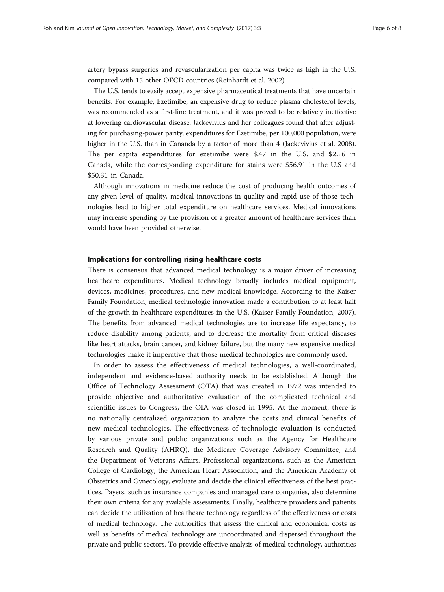artery bypass surgeries and revascularization per capita was twice as high in the U.S. compared with 15 other OECD countries (Reinhardt et al. [2002\)](#page-7-0).

The U.S. tends to easily accept expensive pharmaceutical treatments that have uncertain benefits. For example, Ezetimibe, an expensive drug to reduce plasma cholesterol levels, was recommended as a first-line treatment, and it was proved to be relatively ineffective at lowering cardiovascular disease. Jackevivius and her colleagues found that after adjusting for purchasing-power parity, expenditures for Ezetimibe, per 100,000 population, were higher in the U.S. than in Cananda by a factor of more than 4 (Jackevivius et al. [2008](#page-7-0)). The per capita expenditures for ezetimibe were \$.47 in the U.S. and \$2.16 in Canada, while the corresponding expenditure for stains were \$56.91 in the U.S and \$50.31 in Canada.

Although innovations in medicine reduce the cost of producing health outcomes of any given level of quality, medical innovations in quality and rapid use of those technologies lead to higher total expenditure on healthcare services. Medical innovations may increase spending by the provision of a greater amount of healthcare services than would have been provided otherwise.

#### Implications for controlling rising healthcare costs

There is consensus that advanced medical technology is a major driver of increasing healthcare expenditures. Medical technology broadly includes medical equipment, devices, medicines, procedures, and new medical knowledge. According to the Kaiser Family Foundation, medical technologic innovation made a contribution to at least half of the growth in healthcare expenditures in the U.S. (Kaiser Family Foundation, [2007](#page-7-0)). The benefits from advanced medical technologies are to increase life expectancy, to reduce disability among patients, and to decrease the mortality from critical diseases like heart attacks, brain cancer, and kidney failure, but the many new expensive medical technologies make it imperative that those medical technologies are commonly used.

In order to assess the effectiveness of medical technologies, a well-coordinated, independent and evidence-based authority needs to be established. Although the Office of Technology Assessment (OTA) that was created in 1972 was intended to provide objective and authoritative evaluation of the complicated technical and scientific issues to Congress, the OIA was closed in 1995. At the moment, there is no nationally centralized organization to analyze the costs and clinical benefits of new medical technologies. The effectiveness of technologic evaluation is conducted by various private and public organizations such as the Agency for Healthcare Research and Quality (AHRQ), the Medicare Coverage Advisory Committee, and the Department of Veterans Affairs. Professional organizations, such as the American College of Cardiology, the American Heart Association, and the American Academy of Obstetrics and Gynecology, evaluate and decide the clinical effectiveness of the best practices. Payers, such as insurance companies and managed care companies, also determine their own criteria for any available assessments. Finally, healthcare providers and patients can decide the utilization of healthcare technology regardless of the effectiveness or costs of medical technology. The authorities that assess the clinical and economical costs as well as benefits of medical technology are uncoordinated and dispersed throughout the private and public sectors. To provide effective analysis of medical technology, authorities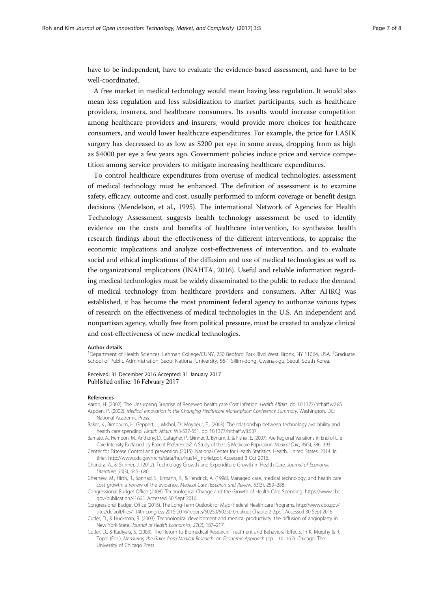<span id="page-6-0"></span>have to be independent, have to evaluate the evidence-based assessment, and have to be well-coordinated.

A free market in medical technology would mean having less regulation. It would also mean less regulation and less subsidization to market participants, such as healthcare providers, insurers, and healthcare consumers. Its results would increase competition among healthcare providers and insurers, would provide more choices for healthcare consumers, and would lower healthcare expenditures. For example, the price for LASIK surgery has decreased to as low as \$200 per eye in some areas, dropping from as high as \$4000 per eye a few years ago. Government policies induce price and service competition among service providers to mitigate increasing healthcare expenditures.

To control healthcare expenditures from overuse of medical technologies, assessment of medical technology must be enhanced. The definition of assessment is to examine safety, efficacy, outcome and cost, usually performed to inform coverage or benefit design decisions (Mendelson, et al., [1995\)](#page-7-0). The international Network of Agencies for Health Technology Assessment suggests health technology assessment be used to identify evidence on the costs and benefits of healthcare intervention, to synthesize health research findings about the effectiveness of the different interventions, to appraise the economic implications and analyze cost-effectiveness of intervention, and to evaluate social and ethical implications of the diffusion and use of medical technologies as well as the organizational implications (INAHTA, [2016\)](#page-7-0). Useful and reliable information regarding medical technologies must be widely disseminated to the public to reduce the demand of medical technology from healthcare providers and consumers. After AHRQ was established, it has become the most prominent federal agency to authorize various types of research on the effectiveness of medical technologies in the U.S. An independent and nonpartisan agency, wholly free from political pressure, must be created to analyze clinical and cost-effectiveness of new medical technologies.

#### Author details

<sup>1</sup>Department of Health Sciences, Lehman College/CUNY, 250 Bedford Park Blvd West, Bronx, NY 11064, USA. <sup>2</sup>Graduate School of Public Administration, Seoul National University, 56-1 Sillim-dong, Gwanak-gu, Seoul, South Korea.

Received: 31 December 2016 Accepted: 31 January 2017 Published online: 16 February 2017

#### References

Aaron, H. (2002). The Unsurpring Surprise of Renewed health care Cost Inflation. Health Affairs. doi[:10.1377/hlthaff.w2.85](http://dx.doi.org/10.1377/hlthaff.w2.85). Aspden, P. (2002). Medical Innovation in the Changing Healthcare Marketplace: Conference Summary. Washington, DC: National Academic Press.

- Baker, K., Birnbaum, H, Geppert, J., Mishol, D., Moyneur, E., (2003). The relationship between technology availability and health care spending. Health Affairs. W3-537-551. doi[:10.1377/hlthaff.w3.537](http://dx.doi.org/10.1377/hlthaff.w3.537).
- Barnato, A., Herndon, M., Anthony, D., Gallagher, P., Skinner, J., Bynum, J., & Fisher, E. (2007). Are Regional Variations in End-of-Life Care Intensity Explained by Patient Preferences?: A Study of the US Medicare Population. Medical Care, 45(5), 386–393.
- Center for Disease Control and prevention (2015). National Center for Health Statistics. Health, United States, 2014: In Brief. [http://www.cdc.gov/nchs/data/hus/hus14\\_inbrief.pdf.](http://www.cdc.gov/nchs/data/hus/hus14_inbrief.pdf) Accessed 3 Oct 2016.
- Chandra, A., & Skinner, J. (2012). Technology Growth and Expenditure Growth in Health Care. Journal of Economic Literature, 50(3), 645–680.
- Chernew, M., Hirth, R., Sonnad, S., Ermann, R., & Fendrick, A. (1998). Managed care, medical technology, and health care cost growth: a review of the evidence. Medical Care Research and Review, 55(3), 259–288.
- Congressional Budget Office (2008). Technological Change and the Growth of Health Care Spending. [https://www.cbo.](https://www.cbo.gov/publication/41665) [gov/publication/41665](https://www.cbo.gov/publication/41665). Accessed 30 Sept 2016.
- Congressional Budget Office (2015). The Long-Term Outlook for Major Federal Health care Programs. [http://www.cbo.gov/](http://www.cbo.gov/sites/default/files/114th-congress-2015-2016/reports/50250/50250-breakout-Chapter2-2.pdf) [sites/default/files/114th-congress-2015-2016/reports/50250/50250-breakout-Chapter2-2.pdf.](http://www.cbo.gov/sites/default/files/114th-congress-2015-2016/reports/50250/50250-breakout-Chapter2-2.pdf) Accessed 30 Sept 2016.
- Cutler, D., & Huckman, R. (2003). Technological development and medical productivity: the diffusion of angioplasty in New York State. Journal of Health Economics, 22(2), 187–217.
- Cutler, D., & Kadiyala, S. (2003). The Return to Biomedical Research: Treatment and Behavioral Effects. In K. Murphy & R. Topel (Eds.), Measuring the Gains from Medical Research: An Economic Approach (pp. 110–162). Chicago: The University of Chicago Press.